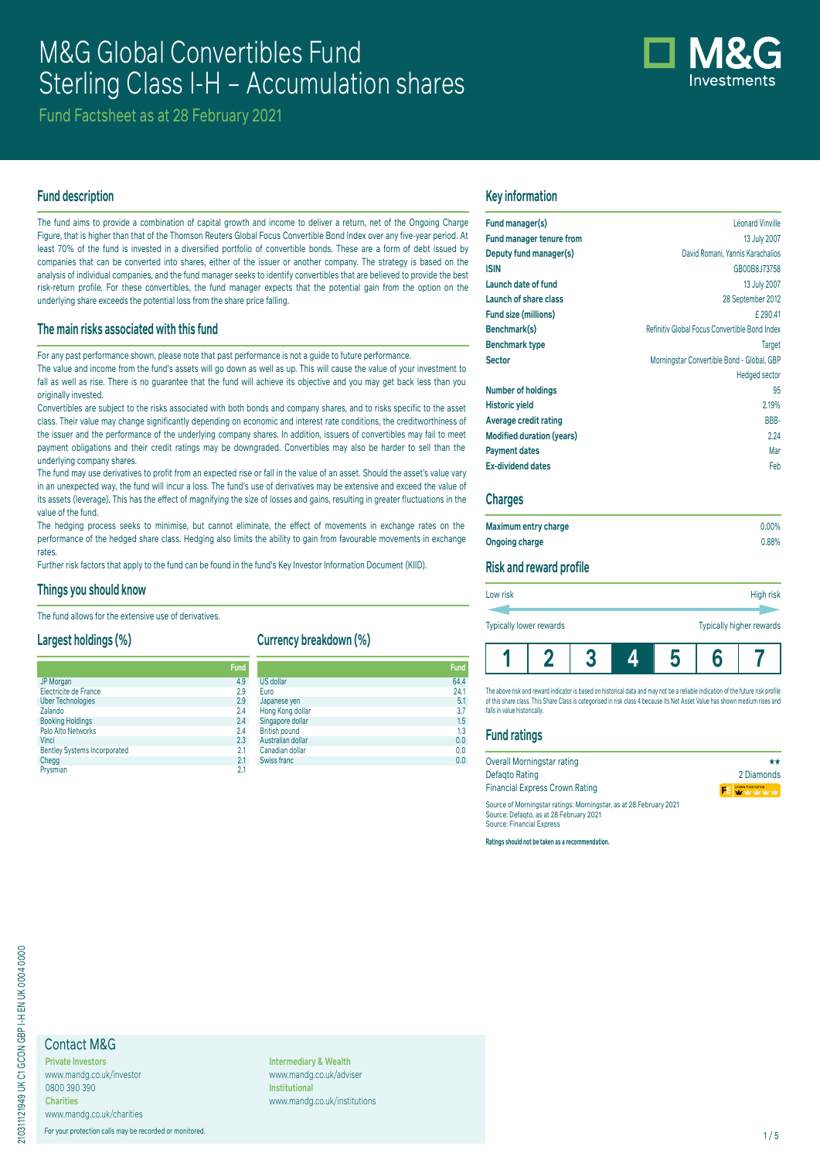# M&G Global Convertibles Fund Sterling Class I-H – Accumulation shares

Fund Factsheet as at 28 February 2021

## **Fund description**

The fund aims to provide a combination of capital growth and income to deliver a return, net of the Ongoing Charge Figure, that is higher than that of the Thomson Reuters Global Focus Convertible Bond Index over any five-year period. At least 70% of the fund is invested in a diversified portfolio of convertible bonds. These are a form of debt issued by companies that can be converted into shares, either of the issuer or another company. The strategy is based on the analysis of individual companies, and the fund manager seeks to identify convertibles that are believed to provide the best risk-return profile. For these convertibles, the fund manager expects that the potential gain from the option on the underlying share exceeds the potential loss from the share price falling.

## **The main risks associated with this fund**

For any past performance shown, please note that past performance is not a guide to future performance. The value and income from the fund's assets will go down as well as up. This will cause the value of your investment to fall as well as rise. There is no guarantee that the fund will achieve its objective and you may get back less than you originally invested.

Convertibles are subject to the risks associated with both bonds and company shares, and to risks specific to the asset class. Their value may change significantly depending on economic and interest rate conditions, the creditworthiness of the issuer and the performance of the underlying company shares. In addition, issuers of convertibles may fail to meet payment obligations and their credit ratings may be downgraded. Convertibles may also be harder to sell than the underlying company shares.

The fund may use derivatives to profit from an expected rise or fall in the value of an asset. Should the asset's value vary in an unexpected way, the fund will incur a loss. The fund's use of derivatives may be extensive and exceed the value of its assets (leverage). This has the effect of magnifying the size of losses and gains, resulting in greater fluctuations in the value of the fund.

The hedging process seeks to minimise, but cannot eliminate, the effect of movements in exchange rates on the performance of the hedged share class. Hedging also limits the ability to gain from favourable movements in exchange rates

Further risk factors that apply to the fund can be found in the fund's Key Investor Information Document (KIID).

#### **Things you should know**

The fund allows for the extensive use of derivatives.

## **Largest holdings (%)**

|                                     | <b>Fund</b> |           |
|-------------------------------------|-------------|-----------|
| JP Morgan                           | 4.9         | US        |
| Electricite de France               | 2.9         | Eur       |
| <b>Uber Technologies</b>            | 2.9         | Jap       |
| Zalando                             | 2.4         | Ho        |
| <b>Booking Holdings</b>             | 2.4         | Sin       |
| Palo Alto Networks                  | 2.4         | Bri       |
| Vinci                               | 2.3         | Au:       |
| <b>Bentley Systems Incorporated</b> | 2.1         | Caı       |
| Chegg                               | 2.1         | <b>Sw</b> |
| Prvsmian                            | 2.1         |           |

**Currency breakdown (%)**

| <b>Fund</b> |                      | Fund |
|-------------|----------------------|------|
| 4.9         | <b>US dollar</b>     | 64.4 |
| 2.9         | Euro                 | 24.1 |
| 2.9         | Japanese yen         | 5.1  |
| 2.4         | Hong Kong dollar     | 3.7  |
| 2.4         | Singapore dollar     | 1.5  |
| 2.4         | <b>British pound</b> | 1.3  |
| 2.3         | Australian dollar    | 0.0  |
| 2.1         | Canadian dollar      | 0.0  |
| 2.1         | Swiss franc          | 0.0  |
| - -         |                      |      |

#### **Key information**

| Fund manager(s)                  | Léonard Vinville                              |
|----------------------------------|-----------------------------------------------|
| <b>Fund manager tenure from</b>  | 13 July 2007                                  |
| Deputy fund manager(s)           | David Romani, Yannis Karachalios              |
| <b>ISIN</b>                      | GB00B8J73758                                  |
| Launch date of fund              | 13 July 2007                                  |
| Launch of share class            | 28 September 2012                             |
| Fund size (millions)             | £290.41                                       |
| Benchmark(s)                     | Refinitiv Global Focus Convertible Bond Index |
| <b>Benchmark type</b>            | <b>Target</b>                                 |
| <b>Sector</b>                    | Morningstar Convertible Bond - Global, GBP    |
|                                  | <b>Hedged sector</b>                          |
| <b>Number of holdings</b>        | 95                                            |
| <b>Historic yield</b>            | 2.19%                                         |
| Average credit rating            | BBB-                                          |
| <b>Modified duration (years)</b> | 2.24                                          |
| <b>Payment dates</b>             | Mar                                           |
| <b>Ex-dividend dates</b>         | Feb                                           |
|                                  |                                               |

#### **Charges**

| Maximum entry charge | $0.00\%$ |
|----------------------|----------|
| Ongoing charge       | 0.88%    |

## **Risk and reward profile**

| Typically higher rewards<br><b>Typically lower rewards</b> |
|------------------------------------------------------------|
|------------------------------------------------------------|

The above risk and reward indicator is based on historical data and may not be a reliable indication of the future risk profile of this share class. This Share Class is categorised in risk class 4 because its Net Asset Value has shown medium rises and falls in value historically

## **Fund ratings**

| Overall Morningstar rating                                                                                   | **                             |
|--------------------------------------------------------------------------------------------------------------|--------------------------------|
| Defagto Rating                                                                                               | 2 Diamonds                     |
| <b>Financial Express Crown Rating</b>                                                                        | <b>FE</b> Write to the term of |
| Source of Morningstar ratings: Morningstar, as at 28 February 2021<br>Source: Defanto as at 28 February 2021 |                                |

Source: Defaqto, as at 28 February 2021 Source: Financial Express

**Ratings should not be taken as a recommendation.**

## Contact M&G

**Private Investors** www.mandg.co.uk/investor 0800 390 390 **Charities** www.mandg.co.uk/charities

For your protection calls may be recorded or monitored. 1/5

**Intermediary & Wealth** www.mandg.co.uk/adviser **Institutional** www.mandg.co.uk/institutions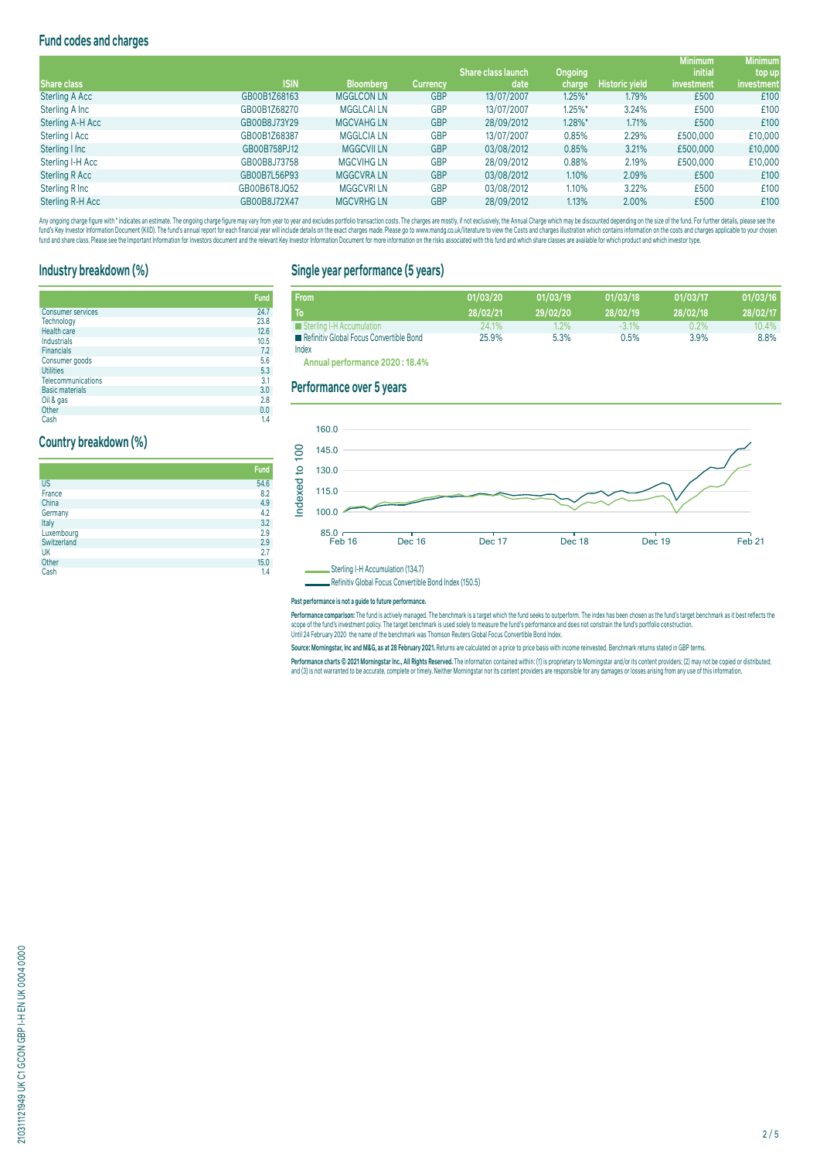## **Fund codes and charges**

|                  |              |                   |                 |                           |                       |                       | <b>Minimum</b> | <b>Minimum</b> |
|------------------|--------------|-------------------|-----------------|---------------------------|-----------------------|-----------------------|----------------|----------------|
|                  |              |                   |                 | <b>Share class launch</b> | Ongoing               |                       | <i>initial</i> | top up         |
| Share class      | <b>ISIN</b>  | <b>Bloomberg</b>  | <b>Currency</b> | date                      | charge                | <b>Historic yield</b> | investment     | investment     |
| Sterling A Acc   | GB00B1Z68163 | <b>MGGLCON LN</b> | <b>GBP</b>      | 13/07/2007                | $1.25\%$ <sup>*</sup> | 1.79%                 | £500           | £100           |
| Sterling A Inc   | GB00B1Z68270 | <b>MGGLCAILN</b>  | <b>GBP</b>      | 13/07/2007                | $1.25\%$ *            | 3.24%                 | £500           | £100           |
| Sterling A-H Acc | GB00B8J73Y29 | <b>MGCVAHGLN</b>  | <b>GBP</b>      | 28/09/2012                | 1.28%*                | 1.71%                 | £500           | £100           |
| Sterling   Acc   | GB00B1Z68387 | <b>MGGLCIA LN</b> | <b>GBP</b>      | 13/07/2007                | 0.85%                 | 2.29%                 | £500,000       | £10,000        |
| Sterling I Inc   | GB00B758PJ12 | <b>MGGCVII LN</b> | <b>GBP</b>      | 03/08/2012                | 0.85%                 | 3.21%                 | £500,000       | £10,000        |
| Sterling I-H Acc | GB00B8J73758 | <b>MGCVIHG LN</b> | <b>GBP</b>      | 28/09/2012                | 0.88%                 | 2.19%                 | £500,000       | £10,000        |
| Sterling R Acc   | GB00B7L56P93 | <b>MGGCVRALN</b>  | <b>GBP</b>      | 03/08/2012                | 1.10%                 | 2.09%                 | £500           | £100           |
| Sterling R Inc   | GB00B6T8JQ52 | <b>MGGCVRILN</b>  | <b>GBP</b>      | 03/08/2012                | 1.10%                 | 3.22%                 | £500           | £100           |
| Sterling R-H Acc | GB00B8J72X47 | <b>MGCVRHGLN</b>  | <b>GBP</b>      | 28/09/2012                | 1.13%                 | 2.00%                 | £500           | £100           |

Any ongoing charge rigure with "inducates an estimate. The ongoing charge may vary from year to year and excludes portroill transaction costs. The charges are mostly, if not exclusively, the Annual Charge should nailly ens

## **Industry breakdown (%)**

|                           | <b>Fund</b> |
|---------------------------|-------------|
| <b>Consumer services</b>  | 24.7        |
| Technology                | 23.8        |
| Health care               | 12.6        |
| Industrials               | 10.5        |
| <b>Financials</b>         | 7.2         |
| Consumer goods            | 5.6         |
| <b>Utilities</b>          | 5.3         |
| <b>Telecommunications</b> | 3.1         |
| <b>Basic materials</b>    | 3.0         |
| Oil & gas                 | 2.8         |
| Other                     | 0.0         |

Cash 1.4

## **Country breakdown (%)**

|             | Fund |
|-------------|------|
| <b>US</b>   | 54.6 |
| France      | 8.2  |
| China       | 4.9  |
| Germany     | 4.2  |
| Italy       | 3.2  |
| Luxembourg  | 2.9  |
| Switzerland | 2.9  |
| UK          | 2.7  |
| Other       | 15.0 |
| Cash        | 1.4  |

## **Single year performance (5 years)**

| <b>From</b>                                      | 01/03/20 | 01/03/19 | 01/03/18 | 01/03/17 | 01/03/16 |
|--------------------------------------------------|----------|----------|----------|----------|----------|
| T <sub>o</sub>                                   | 28/02/21 | 29/02/20 | 28/02/19 | 28/02/18 | 28/02/17 |
| Sterling I-H Accumulation                        | 24.1%    | $1.2\%$  | $-3.1\%$ | 0.2%     | 10.4%    |
| Refinitiv Global Focus Convertible Bond<br>Index | 25.9%    | 5.3%     | 0.5%     | 3.9%     | 8.8%     |

**Annual performance 2020 : 18.4%**

### **Performance over 5 years**



Refinitiv Global Focus Convertible Bond Index (150.5)

**Past performance is not a guide to future performance.** 

Performance comparison: The fund is actively managed. The benchmark is a target which the fund seeks to outperform. The index has been chosen as the fund's target benchmark as it best reflects the scope of the fund's investment policy. The target benchmark is used solely to measure the fund's performance and does not constrain the fund's portfolio construction.<br>Until 24 February 2020 the name of the benchmark was Th

**Source: Morningstar, Inc and M&G, as at 28 February 2021.** Returns are calculated on a price to price basis with income reinvested. Benchmark returns stated in GBP terms.

Performance charts © 2021 Morningstar Inc., All Rights Reserved. The information contained within: (1) is proprietary to Morningstar and/or its content providers; (2) may not be copied or distributed; and (3) is not warranted to be accurate, complete or timely. Neither Morningstar nor its content providers are responsible for any damages or losses arising from any use of this information.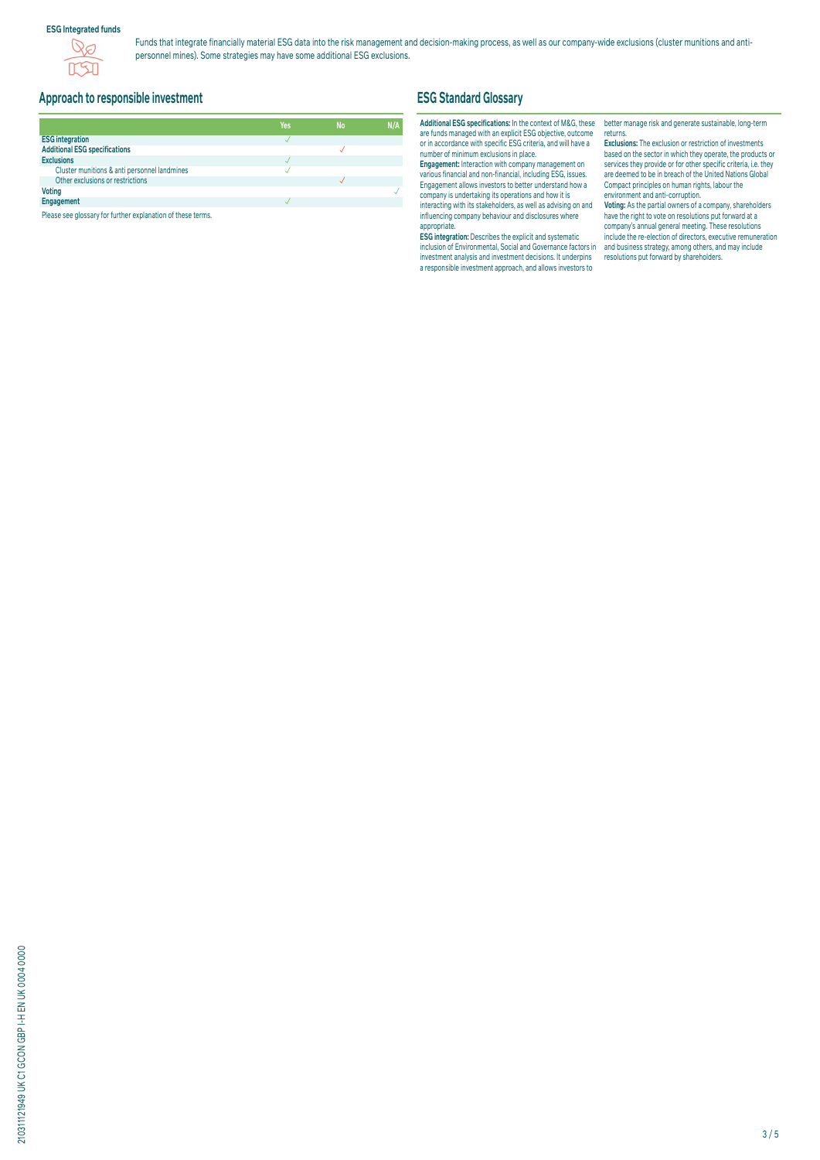#### **ESG Integrated funds**



Funds that integrate financially material ESG data into the risk management and decision-making process, as well as our company-wide exclusions (cluster munitions and antipersonnel mines). Some strategies may have some additional ESG exclusions.

## **Approach to responsible investment**

|                                              | Yes | <b>No</b> | N/A |
|----------------------------------------------|-----|-----------|-----|
| <b>ESG integration</b>                       |     |           |     |
| <b>Additional ESG specifications</b>         |     |           |     |
| <b>Exclusions</b>                            |     |           |     |
| Cluster munitions & anti personnel landmines |     |           |     |
| Other exclusions or restrictions             |     |           |     |
| <b>Voting</b>                                |     |           |     |
| Engagement                                   |     |           |     |

Please see glossary for further explanation of these terms.

## **ESG Standard Glossary**

#### **Additional ESG specifications:** In the context of M&G, these are funds managed with an explicit ESG objective, outcome or in accordance with specific ESG criteria, and will have a number of minimum exclusions in place.

**Engagement:** Interaction with company management on various financial and non-financial, including ESG, issues. Engagement allows investors to better understand how a company is undertaking its operations and how it is interacting with its stakeholders, as well as advising on and influencing company behaviour and disclosures where appropriate.

**ESG integration:** Describes the explicit and systematic inclusion of Environmental, Social and Governance factors in investment analysis and investment decisions. It underpins a responsible investment approach, and allows investors to

better manage risk and generate sustainable, long-term returns.

**Exclusions:** The exclusion or restriction of investments based on the sector in which they operate, the products or services they provide or for other specific criteria, i.e. they are deemed to be in breach of the United Nations Global Compact principles on human rights, labour the environment and anti-corruption.

**Voting:** As the partial owners of a company, shareholders have the right to vote on resolutions put forward at a company's annual general meeting. These resolutions include the re-election of directors, executive remuneration and business strategy, among others, and may include resolutions put forward by shareholders.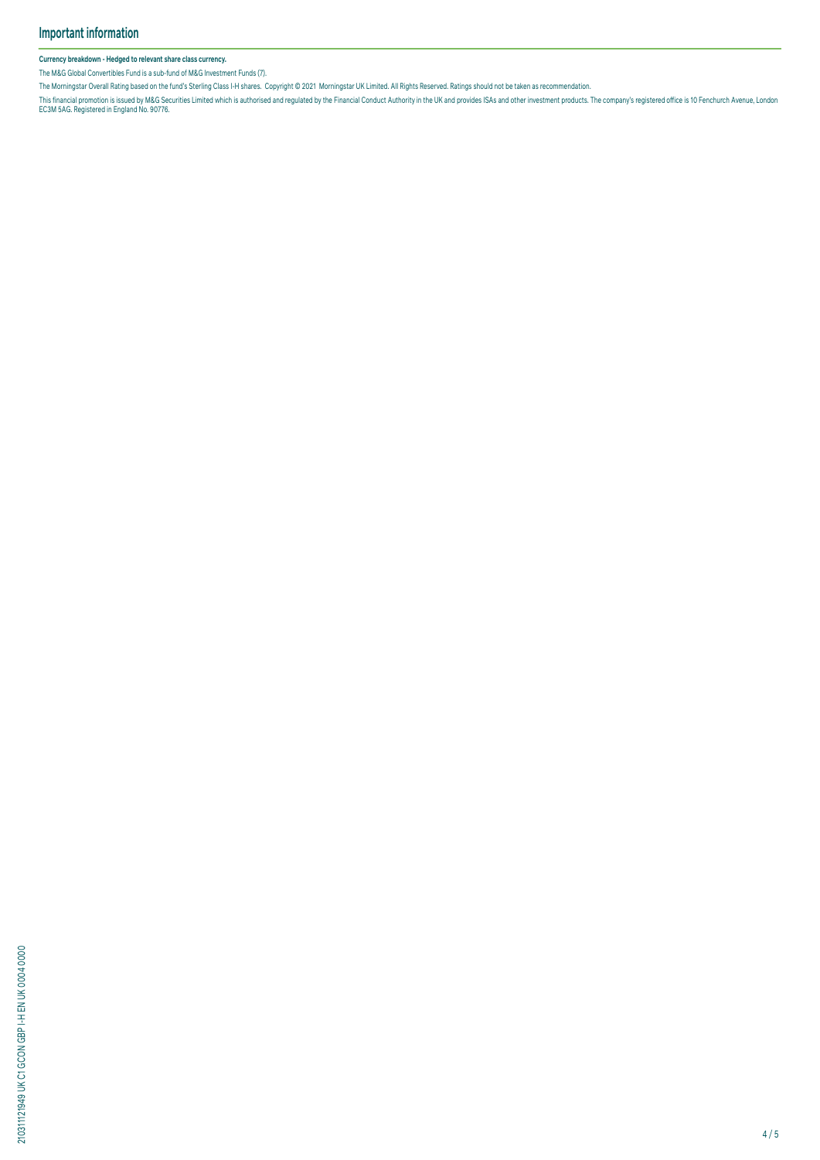#### **Currency breakdown - Hedged to relevant share class currency.**

The M&G Global Convertibles Fund is a sub-fund of M&G Investment Funds (7).

The Morningstar Overall Rating based on the fund's Sterling Class I-H shares. Copyright © 2021 Morningstar UK Limited. All Rights Reserved. Ratings should not be taken as recommendation.

This financial promotion is issued by M&G Securities Limited which is authorised and regulated by the Financial Conduct Authority in the UK and provides ISAS and other investment products. The company's registered office i

210311121949 UK C1 GCON GBP I-H EN UK 0004 0000 210311121949 UK C1 GCON GBP I-H EN UK 0004 0000